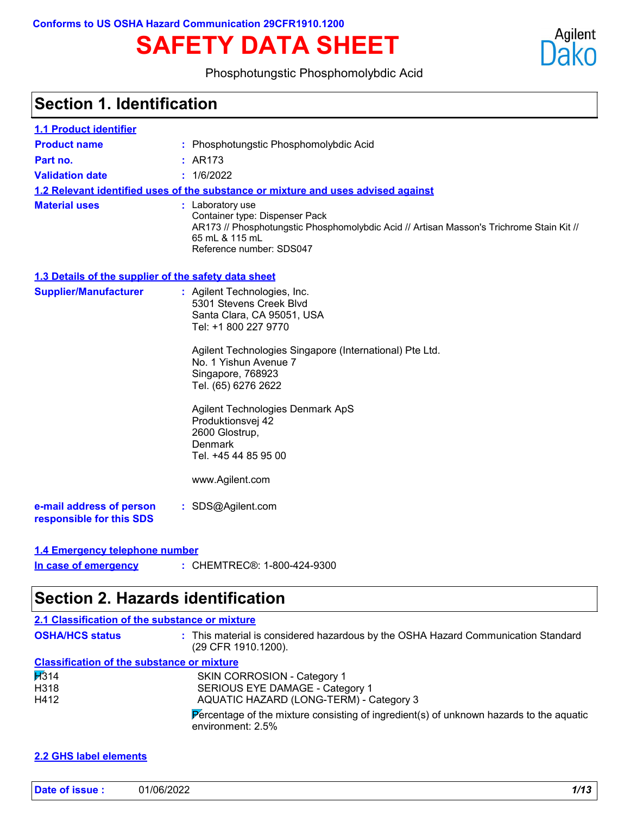# **SAFETY DATA SHEET**



### Phosphotungstic Phosphomolybdic Acid

| 1.1 Product identifier                               |                                                                                                                                                                                              |
|------------------------------------------------------|----------------------------------------------------------------------------------------------------------------------------------------------------------------------------------------------|
| <b>Product name</b>                                  | : Phosphotungstic Phosphomolybdic Acid                                                                                                                                                       |
| Part no.                                             | : AR173                                                                                                                                                                                      |
| <b>Validation date</b>                               | : 1/6/2022                                                                                                                                                                                   |
|                                                      | 1.2 Relevant identified uses of the substance or mixture and uses advised against                                                                                                            |
| <b>Material uses</b>                                 | : Laboratory use<br>Container type: Dispenser Pack<br>AR173 // Phosphotungstic Phosphomolybdic Acid // Artisan Masson's Trichrome Stain Kit //<br>65 mL & 115 mL<br>Reference number: SDS047 |
| 1.3 Details of the supplier of the safety data sheet |                                                                                                                                                                                              |
| <b>Supplier/Manufacturer</b>                         | : Agilent Technologies, Inc.<br>5301 Stevens Creek Blvd<br>Santa Clara, CA 95051, USA<br>Tel: +1 800 227 9770                                                                                |
|                                                      | Agilent Technologies Singapore (International) Pte Ltd.<br>No. 1 Yishun Avenue 7<br>Singapore, 768923<br>Tel. (65) 6276 2622                                                                 |
|                                                      | Agilent Technologies Denmark ApS<br>Produktionsvej 42<br>2600 Glostrup,<br>Denmark<br>Tel. +45 44 85 95 00                                                                                   |
|                                                      | www.Agilent.com                                                                                                                                                                              |
| e-mail address of person<br>responsible for this SDS | : SDS@Agilent.com                                                                                                                                                                            |

**In case of emergency**

CHEMTREC®: 1-800-424-9300 **:**

## **Section 2. Hazards identification**

| 2.1 Classification of the substance or mixture    |                                                                                                                               |
|---------------------------------------------------|-------------------------------------------------------------------------------------------------------------------------------|
| <b>OSHA/HCS status</b>                            | : This material is considered hazardous by the OSHA Hazard Communication Standard<br>(29 CFR 1910.1200).                      |
| <b>Classification of the substance or mixture</b> |                                                                                                                               |
| $\cancel{11314}$                                  | <b>SKIN CORROSION - Category 1</b>                                                                                            |
| H318                                              | SERIOUS EYE DAMAGE - Category 1                                                                                               |
| H412                                              | AQUATIC HAZARD (LONG-TERM) - Category 3                                                                                       |
|                                                   | $\triangleright$ Percentage of the mixture consisting of ingredient(s) of unknown hazards to the aquatic<br>environment: 2.5% |

#### **2.2 GHS label elements**

| <b>Date</b> | 1/06/2022 | .<br> |
|-------------|-----------|-------|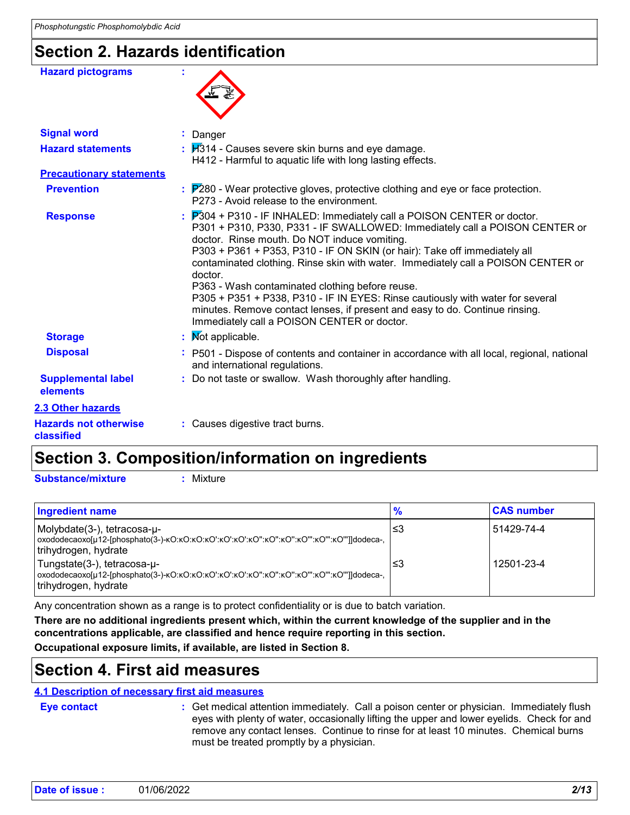### **Section 2. Hazards identification**

| <b>Hazard pictograms</b>                   |                                                                                                                                                                                                                                                                                                                                                                                                                                                                                                                                                                                                                                                                                |
|--------------------------------------------|--------------------------------------------------------------------------------------------------------------------------------------------------------------------------------------------------------------------------------------------------------------------------------------------------------------------------------------------------------------------------------------------------------------------------------------------------------------------------------------------------------------------------------------------------------------------------------------------------------------------------------------------------------------------------------|
| <b>Signal word</b>                         | : Danger                                                                                                                                                                                                                                                                                                                                                                                                                                                                                                                                                                                                                                                                       |
| <b>Hazard statements</b>                   | : 7314 - Causes severe skin burns and eye damage.<br>H412 - Harmful to aquatic life with long lasting effects.                                                                                                                                                                                                                                                                                                                                                                                                                                                                                                                                                                 |
| <b>Precautionary statements</b>            |                                                                                                                                                                                                                                                                                                                                                                                                                                                                                                                                                                                                                                                                                |
| <b>Prevention</b>                          | : P280 - Wear protective gloves, protective clothing and eye or face protection.<br>P273 - Avoid release to the environment.                                                                                                                                                                                                                                                                                                                                                                                                                                                                                                                                                   |
| <b>Response</b>                            | $\frac{1}{2}$ $\mathbb{P}304$ + P310 - IF INHALED: Immediately call a POISON CENTER or doctor.<br>P301 + P310, P330, P331 - IF SWALLOWED: Immediately call a POISON CENTER or<br>doctor. Rinse mouth. Do NOT induce vomiting.<br>P303 + P361 + P353, P310 - IF ON SKIN (or hair): Take off immediately all<br>contaminated clothing. Rinse skin with water. Immediately call a POISON CENTER or<br>doctor.<br>P363 - Wash contaminated clothing before reuse.<br>P305 + P351 + P338, P310 - IF IN EYES: Rinse cautiously with water for several<br>minutes. Remove contact lenses, if present and easy to do. Continue rinsing.<br>Immediately call a POISON CENTER or doctor. |
| <b>Storage</b>                             | : Mot applicable.                                                                                                                                                                                                                                                                                                                                                                                                                                                                                                                                                                                                                                                              |
| <b>Disposal</b>                            | : P501 - Dispose of contents and container in accordance with all local, regional, national<br>and international regulations.                                                                                                                                                                                                                                                                                                                                                                                                                                                                                                                                                  |
| <b>Supplemental label</b><br>elements      | : Do not taste or swallow. Wash thoroughly after handling.                                                                                                                                                                                                                                                                                                                                                                                                                                                                                                                                                                                                                     |
| 2.3 Other hazards                          |                                                                                                                                                                                                                                                                                                                                                                                                                                                                                                                                                                                                                                                                                |
| <b>Hazards not otherwise</b><br>classified | : Causes digestive tract burns.                                                                                                                                                                                                                                                                                                                                                                                                                                                                                                                                                                                                                                                |
|                                            |                                                                                                                                                                                                                                                                                                                                                                                                                                                                                                                                                                                                                                                                                |

### **Section 3. Composition/information on ingredients**

**Substance/mixture :**

Mixture

| <b>Ingredient name</b>                              | $\frac{9}{6}$ | <b>CAS number</b> |
|-----------------------------------------------------|---------------|-------------------|
| Molybdate(3-), tetracosa-u-<br>trihydrogen, hydrate | 3≥ا           | 51429-74-4        |
| Tungstate(3-), tetracosa-u-<br>trihydrogen, hydrate | 3≥ا           | 12501-23-4        |

Any concentration shown as a range is to protect confidentiality or is due to batch variation.

**There are no additional ingredients present which, within the current knowledge of the supplier and in the concentrations applicable, are classified and hence require reporting in this section.**

**Occupational exposure limits, if available, are listed in Section 8.**

### **Section 4. First aid measures**

### **4.1 Description of necessary first aid measures**

**Eye contact :**

Get medical attention immediately. Call a poison center or physician. Immediately flush eyes with plenty of water, occasionally lifting the upper and lower eyelids. Check for and remove any contact lenses. Continue to rinse for at least 10 minutes. Chemical burns must be treated promptly by a physician.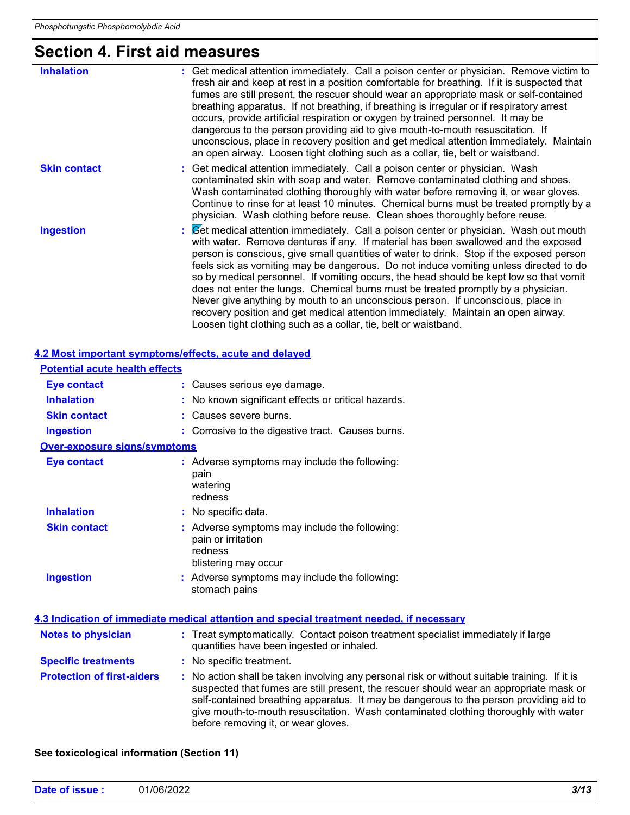# **Section 4. First aid measures**

| <b>Inhalation</b>   | : Get medical attention immediately. Call a poison center or physician. Remove victim to<br>fresh air and keep at rest in a position comfortable for breathing. If it is suspected that<br>fumes are still present, the rescuer should wear an appropriate mask or self-contained<br>breathing apparatus. If not breathing, if breathing is irregular or if respiratory arrest<br>occurs, provide artificial respiration or oxygen by trained personnel. It may be<br>dangerous to the person providing aid to give mouth-to-mouth resuscitation. If<br>unconscious, place in recovery position and get medical attention immediately. Maintain<br>an open airway. Loosen tight clothing such as a collar, tie, belt or waistband.                                                          |
|---------------------|---------------------------------------------------------------------------------------------------------------------------------------------------------------------------------------------------------------------------------------------------------------------------------------------------------------------------------------------------------------------------------------------------------------------------------------------------------------------------------------------------------------------------------------------------------------------------------------------------------------------------------------------------------------------------------------------------------------------------------------------------------------------------------------------|
| <b>Skin contact</b> | : Get medical attention immediately. Call a poison center or physician. Wash<br>contaminated skin with soap and water. Remove contaminated clothing and shoes.<br>Wash contaminated clothing thoroughly with water before removing it, or wear gloves.<br>Continue to rinse for at least 10 minutes. Chemical burns must be treated promptly by a<br>physician. Wash clothing before reuse. Clean shoes thoroughly before reuse.                                                                                                                                                                                                                                                                                                                                                            |
| <b>Ingestion</b>    | : Cet medical attention immediately. Call a poison center or physician. Wash out mouth<br>with water. Remove dentures if any. If material has been swallowed and the exposed<br>person is conscious, give small quantities of water to drink. Stop if the exposed person<br>feels sick as vomiting may be dangerous. Do not induce vomiting unless directed to do<br>so by medical personnel. If vomiting occurs, the head should be kept low so that vomit<br>does not enter the lungs. Chemical burns must be treated promptly by a physician.<br>Never give anything by mouth to an unconscious person. If unconscious, place in<br>recovery position and get medical attention immediately. Maintain an open airway.<br>Loosen tight clothing such as a collar, tie, belt or waistband. |

#### **4.2 Most important symptoms/effects, acute and delayed**

| <b>Potential acute health effects</b> |                                                                                                                                                                                                                                                                                                                                                                                                                 |
|---------------------------------------|-----------------------------------------------------------------------------------------------------------------------------------------------------------------------------------------------------------------------------------------------------------------------------------------------------------------------------------------------------------------------------------------------------------------|
| <b>Eye contact</b>                    | : Causes serious eye damage.                                                                                                                                                                                                                                                                                                                                                                                    |
| <b>Inhalation</b>                     | : No known significant effects or critical hazards.                                                                                                                                                                                                                                                                                                                                                             |
| <b>Skin contact</b>                   | : Causes severe burns.                                                                                                                                                                                                                                                                                                                                                                                          |
| <b>Ingestion</b>                      | : Corrosive to the digestive tract. Causes burns.                                                                                                                                                                                                                                                                                                                                                               |
| <b>Over-exposure signs/symptoms</b>   |                                                                                                                                                                                                                                                                                                                                                                                                                 |
| <b>Eye contact</b>                    | : Adverse symptoms may include the following:<br>pain<br>watering<br>redness                                                                                                                                                                                                                                                                                                                                    |
| <b>Inhalation</b>                     | : No specific data.                                                                                                                                                                                                                                                                                                                                                                                             |
| <b>Skin contact</b>                   | : Adverse symptoms may include the following:<br>pain or irritation<br>redness<br>blistering may occur                                                                                                                                                                                                                                                                                                          |
| <b>Ingestion</b>                      | : Adverse symptoms may include the following:<br>stomach pains                                                                                                                                                                                                                                                                                                                                                  |
|                                       | 4.3 Indication of immediate medical attention and special treatment needed, if necessary                                                                                                                                                                                                                                                                                                                        |
| <b>Notes to physician</b>             | : Treat symptomatically. Contact poison treatment specialist immediately if large<br>quantities have been ingested or inhaled.                                                                                                                                                                                                                                                                                  |
| <b>Specific treatments</b>            | : No specific treatment.                                                                                                                                                                                                                                                                                                                                                                                        |
| <b>Protection of first-aiders</b>     | : No action shall be taken involving any personal risk or without suitable training. If it is<br>suspected that fumes are still present, the rescuer should wear an appropriate mask or<br>self-contained breathing apparatus. It may be dangerous to the person providing aid to<br>give mouth-to-mouth resuscitation. Wash contaminated clothing thoroughly with water<br>before removing it, or wear gloves. |

### **See toxicological information (Section 11)**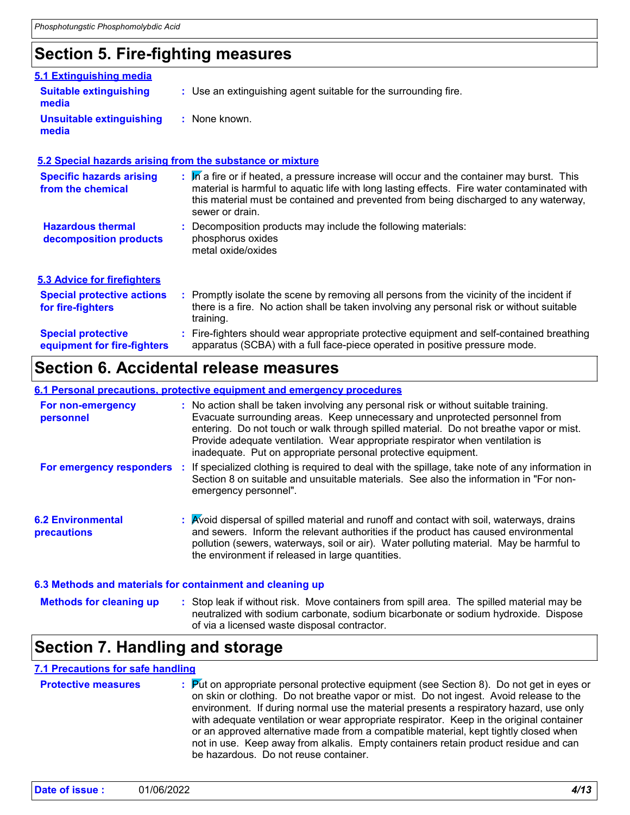### **Section 5. Fire-fighting measures**

| 5.1 Extinguishing media                                  |                                                                                                                                                                                                                                                                                                     |
|----------------------------------------------------------|-----------------------------------------------------------------------------------------------------------------------------------------------------------------------------------------------------------------------------------------------------------------------------------------------------|
| <b>Suitable extinguishing</b><br>media                   | : Use an extinguishing agent suitable for the surrounding fire.                                                                                                                                                                                                                                     |
| <b>Unsuitable extinguishing</b><br>media                 | : None known.                                                                                                                                                                                                                                                                                       |
|                                                          | 5.2 Special hazards arising from the substance or mixture                                                                                                                                                                                                                                           |
| <b>Specific hazards arising</b><br>from the chemical     | : M a fire or if heated, a pressure increase will occur and the container may burst. This<br>material is harmful to aquatic life with long lasting effects. Fire water contaminated with<br>this material must be contained and prevented from being discharged to any waterway,<br>sewer or drain. |
| <b>Hazardous thermal</b><br>decomposition products       | : Decomposition products may include the following materials:<br>phosphorus oxides<br>metal oxide/oxides                                                                                                                                                                                            |
| <b>5.3 Advice for firefighters</b>                       |                                                                                                                                                                                                                                                                                                     |
| <b>Special protective actions</b><br>for fire-fighters   | : Promptly isolate the scene by removing all persons from the vicinity of the incident if<br>there is a fire. No action shall be taken involving any personal risk or without suitable<br>training.                                                                                                 |
| <b>Special protective</b><br>equipment for fire-fighters | : Fire-fighters should wear appropriate protective equipment and self-contained breathing<br>apparatus (SCBA) with a full face-piece operated in positive pressure mode.                                                                                                                            |
|                                                          |                                                                                                                                                                                                                                                                                                     |

### **Section 6. Accidental release measures**

#### **6.1 Personal precautions, protective equipment and emergency procedures**

| For non-emergency<br>personnel                            | : No action shall be taken involving any personal risk or without suitable training.<br>Evacuate surrounding areas. Keep unnecessary and unprotected personnel from<br>entering. Do not touch or walk through spilled material. Do not breathe vapor or mist.<br>Provide adequate ventilation. Wear appropriate respirator when ventilation is<br>inadequate. Put on appropriate personal protective equipment. |
|-----------------------------------------------------------|-----------------------------------------------------------------------------------------------------------------------------------------------------------------------------------------------------------------------------------------------------------------------------------------------------------------------------------------------------------------------------------------------------------------|
| For emergency responders                                  | If specialized clothing is required to deal with the spillage, take note of any information in<br>Section 8 on suitable and unsuitable materials. See also the information in "For non-<br>emergency personnel".                                                                                                                                                                                                |
| <b>6.2 Environmental</b><br><b>precautions</b>            | : Avoid dispersal of spilled material and runoff and contact with soil, waterways, drains<br>and sewers. Inform the relevant authorities if the product has caused environmental<br>pollution (sewers, waterways, soil or air). Water polluting material. May be harmful to<br>the environment if released in large quantities.                                                                                 |
| 6.3 Methods and materials for containment and cleaning up |                                                                                                                                                                                                                                                                                                                                                                                                                 |

#### : Stop leak if without risk. Move containers from spill area. The spilled material may be neutralized with sodium carbonate, sodium bicarbonate or sodium hydroxide. Dispose of via a licensed waste disposal contractor. **Methods for cleaning up :**

### **Section 7. Handling and storage**

#### **7.1 Precautions for safe handling**

| : Put on appropriate personal protective equipment (see Section 8). Do not get in eyes or<br><b>Protective measures</b><br>on skin or clothing. Do not breathe vapor or mist. Do not ingest. Avoid release to the<br>environment. If during normal use the material presents a respiratory hazard, use only<br>with adequate ventilation or wear appropriate respirator. Keep in the original container<br>or an approved alternative made from a compatible material, kept tightly closed when<br>not in use. Keep away from alkalis. Empty containers retain product residue and can<br>be hazardous. Do not reuse container. |  |
|---------------------------------------------------------------------------------------------------------------------------------------------------------------------------------------------------------------------------------------------------------------------------------------------------------------------------------------------------------------------------------------------------------------------------------------------------------------------------------------------------------------------------------------------------------------------------------------------------------------------------------|--|
|---------------------------------------------------------------------------------------------------------------------------------------------------------------------------------------------------------------------------------------------------------------------------------------------------------------------------------------------------------------------------------------------------------------------------------------------------------------------------------------------------------------------------------------------------------------------------------------------------------------------------------|--|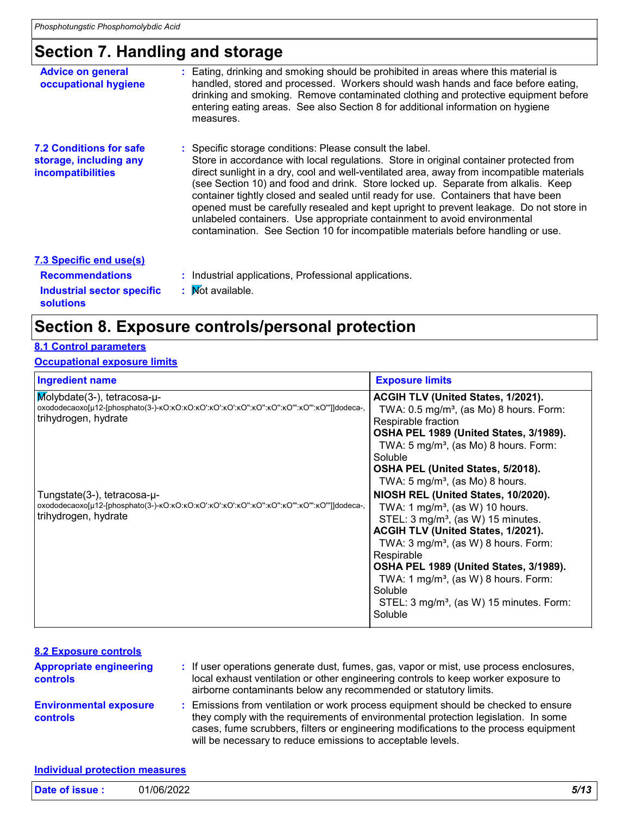### **Section 7. Handling and storage**

| <b>Advice on general</b><br>occupational hygiene                              | Eating, drinking and smoking should be prohibited in areas where this material is<br>handled, stored and processed. Workers should wash hands and face before eating,<br>drinking and smoking. Remove contaminated clothing and protective equipment before<br>entering eating areas. See also Section 8 for additional information on hygiene<br>measures.                                                                                                                                                                                                                                                                                                                          |
|-------------------------------------------------------------------------------|--------------------------------------------------------------------------------------------------------------------------------------------------------------------------------------------------------------------------------------------------------------------------------------------------------------------------------------------------------------------------------------------------------------------------------------------------------------------------------------------------------------------------------------------------------------------------------------------------------------------------------------------------------------------------------------|
| <b>7.2 Conditions for safe</b><br>storage, including any<br>incompatibilities | : Specific storage conditions: Please consult the label.<br>Store in accordance with local regulations. Store in original container protected from<br>direct sunlight in a dry, cool and well-ventilated area, away from incompatible materials<br>(see Section 10) and food and drink. Store locked up. Separate from alkalis. Keep<br>container tightly closed and sealed until ready for use. Containers that have been<br>opened must be carefully resealed and kept upright to prevent leakage. Do not store in<br>unlabeled containers. Use appropriate containment to avoid environmental<br>contamination. See Section 10 for incompatible materials before handling or use. |
| 7.3 Specific end use(s)                                                       |                                                                                                                                                                                                                                                                                                                                                                                                                                                                                                                                                                                                                                                                                      |
| <b>Recommendations</b>                                                        | : Industrial applications, Professional applications.                                                                                                                                                                                                                                                                                                                                                                                                                                                                                                                                                                                                                                |
| Industrial sector specific                                                    | : Mot available.                                                                                                                                                                                                                                                                                                                                                                                                                                                                                                                                                                                                                                                                     |

### : Mot available.

### **Section 8. Exposure controls/personal protection**

### **8.1 Control parameters**

**solutions**

#### **Occupational exposure limits**

| <b>Ingredient name</b>                                 | <b>Exposure limits</b>                                                                                                                                                                                                                                                                                                                                                                                                  |
|--------------------------------------------------------|-------------------------------------------------------------------------------------------------------------------------------------------------------------------------------------------------------------------------------------------------------------------------------------------------------------------------------------------------------------------------------------------------------------------------|
| $Molybdate(3-)$ , tetracosa-u-<br>trihydrogen, hydrate | <b>ACGIH TLV (United States, 1/2021).</b><br>TWA: $0.5 \text{ mg/m}^3$ , (as Mo) 8 hours. Form:<br>Respirable fraction<br>OSHA PEL 1989 (United States, 3/1989).<br>TWA: 5 mg/m <sup>3</sup> , (as Mo) 8 hours. Form:<br>Soluble<br>OSHA PEL (United States, 5/2018).<br>TWA: 5 mg/m <sup>3</sup> , (as Mo) 8 hours.                                                                                                    |
| Tungstate(3-), tetracosa-µ-<br>trihydrogen, hydrate    | NIOSH REL (United States, 10/2020).<br>TWA: 1 mg/m <sup>3</sup> , (as W) 10 hours.<br>STEL: 3 mg/m <sup>3</sup> , (as W) 15 minutes.<br>ACGIH TLV (United States, 1/2021).<br>TWA: $3 \text{ mg/m}^3$ , (as W) 8 hours. Form:<br>Respirable<br>OSHA PEL 1989 (United States, 3/1989).<br>TWA: 1 mg/m <sup>3</sup> , (as W) 8 hours. Form:<br>Soluble<br>STEL: 3 mg/m <sup>3</sup> , (as W) 15 minutes. Form:<br>Soluble |

#### **Environmental exposure controls :** Emissions from ventilation or work process equipment should be checked to ensure they comply with the requirements of environmental protection legislation. In some cases, fume scrubbers, filters or engineering modifications to the process equipment will be necessary to reduce emissions to acceptable levels. **Appropriate engineering controls :** If user operations generate dust, fumes, gas, vapor or mist, use process enclosures, local exhaust ventilation or other engineering controls to keep worker exposure to airborne contaminants below any recommended or statutory limits. **8.2 Exposure controls**

### **Individual protection measures Date of issue :** 01/06/2022 *5/13*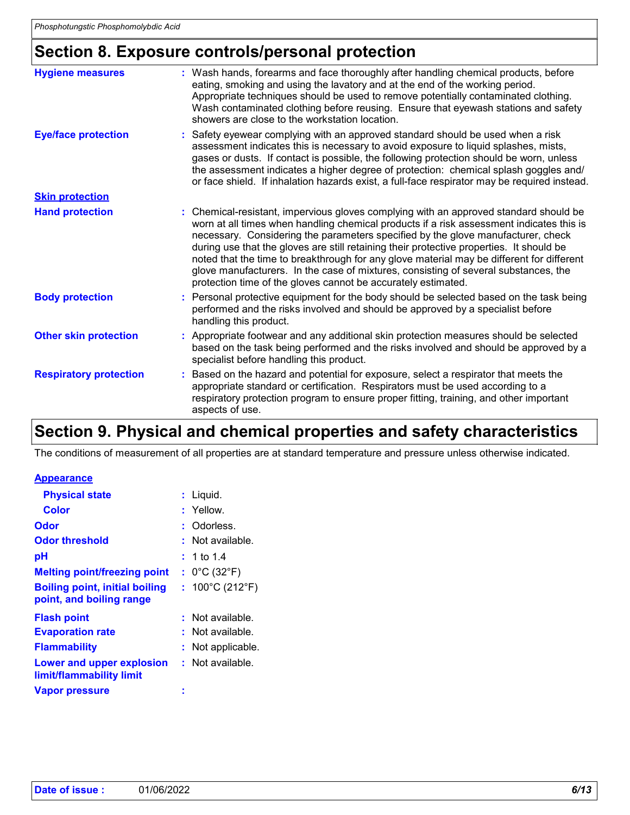### **Section 8. Exposure controls/personal protection**

| <b>Hygiene measures</b>       | : Wash hands, forearms and face thoroughly after handling chemical products, before<br>eating, smoking and using the lavatory and at the end of the working period.<br>Appropriate techniques should be used to remove potentially contaminated clothing.<br>Wash contaminated clothing before reusing. Ensure that eyewash stations and safety<br>showers are close to the workstation location.                                                                                                                                                                                                                      |
|-------------------------------|------------------------------------------------------------------------------------------------------------------------------------------------------------------------------------------------------------------------------------------------------------------------------------------------------------------------------------------------------------------------------------------------------------------------------------------------------------------------------------------------------------------------------------------------------------------------------------------------------------------------|
| <b>Eye/face protection</b>    | Safety eyewear complying with an approved standard should be used when a risk<br>assessment indicates this is necessary to avoid exposure to liquid splashes, mists,<br>gases or dusts. If contact is possible, the following protection should be worn, unless<br>the assessment indicates a higher degree of protection: chemical splash goggles and/<br>or face shield. If inhalation hazards exist, a full-face respirator may be required instead.                                                                                                                                                                |
| <b>Skin protection</b>        |                                                                                                                                                                                                                                                                                                                                                                                                                                                                                                                                                                                                                        |
| <b>Hand protection</b>        | : Chemical-resistant, impervious gloves complying with an approved standard should be<br>worn at all times when handling chemical products if a risk assessment indicates this is<br>necessary. Considering the parameters specified by the glove manufacturer, check<br>during use that the gloves are still retaining their protective properties. It should be<br>noted that the time to breakthrough for any glove material may be different for different<br>glove manufacturers. In the case of mixtures, consisting of several substances, the<br>protection time of the gloves cannot be accurately estimated. |
| <b>Body protection</b>        | Personal protective equipment for the body should be selected based on the task being<br>performed and the risks involved and should be approved by a specialist before<br>handling this product.                                                                                                                                                                                                                                                                                                                                                                                                                      |
| <b>Other skin protection</b>  | : Appropriate footwear and any additional skin protection measures should be selected<br>based on the task being performed and the risks involved and should be approved by a<br>specialist before handling this product.                                                                                                                                                                                                                                                                                                                                                                                              |
| <b>Respiratory protection</b> | Based on the hazard and potential for exposure, select a respirator that meets the<br>appropriate standard or certification. Respirators must be used according to a<br>respiratory protection program to ensure proper fitting, training, and other important<br>aspects of use.                                                                                                                                                                                                                                                                                                                                      |

## **Section 9. Physical and chemical properties and safety characteristics**

The conditions of measurement of all properties are at standard temperature and pressure unless otherwise indicated.

### **Appearance**

| <b>Physical state</b>                                             | : Liquid.                            |
|-------------------------------------------------------------------|--------------------------------------|
| <b>Color</b>                                                      | : Yellow.                            |
| Odor                                                              | Odorless.                            |
| <b>Odor threshold</b>                                             | Not available.                       |
| рH                                                                | : 1 to 1.4                           |
| <b>Melting point/freezing point</b>                               | : $0^{\circ}$ C (32 $^{\circ}$ F)    |
| <b>Boiling point, initial boiling</b><br>point, and boiling range | : $100^{\circ}$ C (212 $^{\circ}$ F) |
|                                                                   |                                      |
| <b>Flash point</b>                                                | Not available.                       |
| <b>Evaporation rate</b>                                           | Not available.                       |
| <b>Flammability</b>                                               | Not applicable.                      |
| Lower and upper explosion<br>limit/flammability limit             | $:$ Not available.                   |
|                                                                   |                                      |
| <b>Vapor pressure</b>                                             |                                      |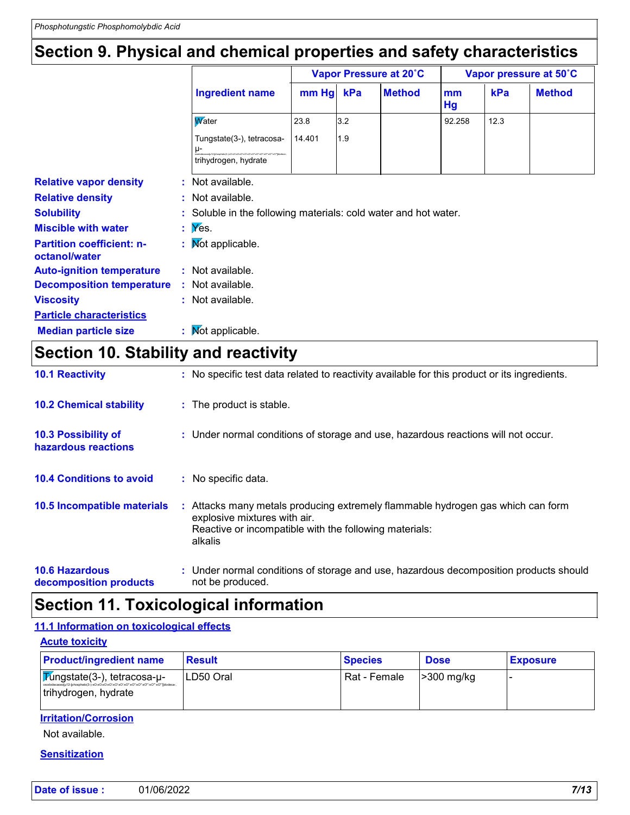### **Section 9. Physical and chemical properties and safety characteristics**

|                                                   |                                                                                                                                        |        | Vapor Pressure at 20°C |               |          | Vapor pressure at 50°C |               |  |
|---------------------------------------------------|----------------------------------------------------------------------------------------------------------------------------------------|--------|------------------------|---------------|----------|------------------------|---------------|--|
|                                                   | <b>Ingredient name</b>                                                                                                                 | mm Hg  | kPa                    | <b>Method</b> | mm<br>Hg | kPa                    | <b>Method</b> |  |
|                                                   | <b>W</b> ater                                                                                                                          | 23.8   | 3.2                    |               | 92.258   | 12.3                   |               |  |
|                                                   | Tungstate(3-), tetracosa-<br>$\mu$ -<br>anhatol" (heft ar "Dar "Dar "Dar "Dar "Dar "Dar Dar Dar Dar A-2 alahas<br>trihydrogen, hydrate | 14.401 | 1.9                    |               |          |                        |               |  |
| <b>Relative vapor density</b>                     | : Not available.                                                                                                                       |        |                        |               |          |                        |               |  |
| <b>Relative density</b>                           | $:$ Not available.                                                                                                                     |        |                        |               |          |                        |               |  |
| <b>Solubility</b>                                 | : Soluble in the following materials: cold water and hot water.                                                                        |        |                        |               |          |                        |               |  |
| <b>Miscible with water</b>                        | $\mathbf{y} \in \mathbb{X}$ es.                                                                                                        |        |                        |               |          |                        |               |  |
| <b>Partition coefficient: n-</b><br>octanol/water | : Mot applicable.                                                                                                                      |        |                        |               |          |                        |               |  |
| <b>Auto-ignition temperature</b>                  | : Not available.                                                                                                                       |        |                        |               |          |                        |               |  |
| <b>Decomposition temperature</b>                  | : Not available.                                                                                                                       |        |                        |               |          |                        |               |  |
| <b>Viscosity</b>                                  | : Not available.                                                                                                                       |        |                        |               |          |                        |               |  |
| <b>Particle characteristics</b>                   |                                                                                                                                        |        |                        |               |          |                        |               |  |
| <b>Median particle size</b>                       | : Mot applicable.                                                                                                                      |        |                        |               |          |                        |               |  |

### **Section 10. Stability and reactivity**

| <b>10.1 Reactivity</b>                     | : No specific test data related to reactivity available for this product or its ingredients.                                                                                         |
|--------------------------------------------|--------------------------------------------------------------------------------------------------------------------------------------------------------------------------------------|
| <b>10.2 Chemical stability</b>             | : The product is stable.                                                                                                                                                             |
| 10.3 Possibility of<br>hazardous reactions | : Under normal conditions of storage and use, hazardous reactions will not occur.                                                                                                    |
| <b>10.4 Conditions to avoid</b>            | : No specific data.                                                                                                                                                                  |
| <b>10.5 Incompatible materials</b>         | : Attacks many metals producing extremely flammable hydrogen gas which can form<br>explosive mixtures with air.<br>Reactive or incompatible with the following materials:<br>alkalis |
| <b>10.6 Hazardous</b>                      | : Under normal conditions of storage and use, hazardous decomposition products should                                                                                                |

**decomposition products**

not be produced.

### **Section 11. Toxicological information**

#### **11.1 Information on toxicological effects**

| <b>Acute toxicity</b>                                               |               |                |                          |                 |
|---------------------------------------------------------------------|---------------|----------------|--------------------------|-----------------|
| <b>Product/ingredient name</b>                                      | <b>Result</b> | <b>Species</b> | <b>Dose</b>              | <b>Exposure</b> |
| ∣ <mark>7∕úngstate(3-), tetracosa-µ-</mark><br>trihydrogen, hydrate | LD50 Oral     | Rat - Female   | $\geq 300 \text{ mg/kg}$ |                 |

#### **Irritation/Corrosion**

Not available.

#### **Sensitization**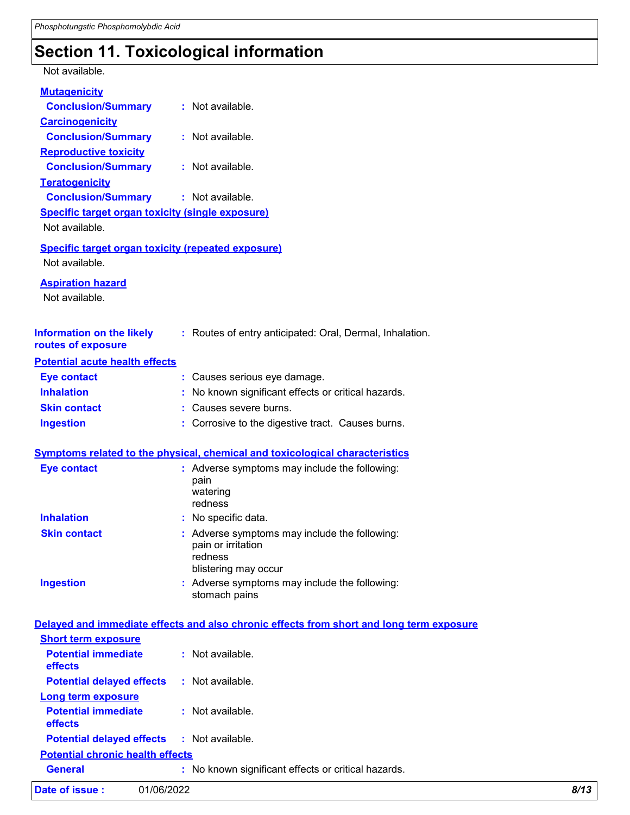## **Section 11. Toxicological information**

Not available.

| <b>Mutagenicity</b>                                                                  |                                                                                                        |
|--------------------------------------------------------------------------------------|--------------------------------------------------------------------------------------------------------|
| <b>Conclusion/Summary</b>                                                            | : Not available.                                                                                       |
| <b>Carcinogenicity</b>                                                               |                                                                                                        |
| <b>Conclusion/Summary</b>                                                            | : Not available.                                                                                       |
| <b>Reproductive toxicity</b>                                                         |                                                                                                        |
| <b>Conclusion/Summary</b>                                                            | : Not available.                                                                                       |
| <b>Teratogenicity</b>                                                                | : Not available.                                                                                       |
| <b>Conclusion/Summary</b><br><b>Specific target organ toxicity (single exposure)</b> |                                                                                                        |
| Not available.                                                                       |                                                                                                        |
|                                                                                      |                                                                                                        |
| <b>Specific target organ toxicity (repeated exposure)</b><br>Not available.          |                                                                                                        |
| <b>Aspiration hazard</b><br>Not available.                                           |                                                                                                        |
| <b>Information on the likely</b><br>routes of exposure                               | : Routes of entry anticipated: Oral, Dermal, Inhalation.                                               |
| <b>Potential acute health effects</b>                                                |                                                                                                        |
| <b>Eye contact</b>                                                                   | : Causes serious eye damage.                                                                           |
| <b>Inhalation</b>                                                                    | : No known significant effects or critical hazards.                                                    |
| <b>Skin contact</b>                                                                  | : Causes severe burns.                                                                                 |
| <b>Ingestion</b>                                                                     | : Corrosive to the digestive tract. Causes burns.                                                      |
|                                                                                      | <b>Symptoms related to the physical, chemical and toxicological characteristics</b>                    |
| <b>Eye contact</b>                                                                   | : Adverse symptoms may include the following:                                                          |
|                                                                                      | pain<br>watering<br>redness                                                                            |
| <b>Inhalation</b>                                                                    | : No specific data.                                                                                    |
| <b>Skin contact</b>                                                                  | : Adverse symptoms may include the following:<br>pain or irritation<br>redness<br>blistering may occur |
| <b>Ingestion</b>                                                                     | : Adverse symptoms may include the following:<br>stomach pains                                         |
|                                                                                      | Delayed and immediate effects and also chronic effects from short and long term exposure               |
| <b>Short term exposure</b>                                                           |                                                                                                        |
| <b>Potential immediate</b><br>effects                                                | : Not available.                                                                                       |
| <b>Potential delayed effects</b>                                                     | : Not available.                                                                                       |
| <b>Long term exposure</b>                                                            |                                                                                                        |
| <b>Potential immediate</b><br>effects                                                | : Not available.                                                                                       |
| <b>Potential delayed effects</b>                                                     | : Not available.                                                                                       |
| <b>Potential chronic health effects</b>                                              |                                                                                                        |
| <b>General</b>                                                                       | : No known significant effects or critical hazards.                                                    |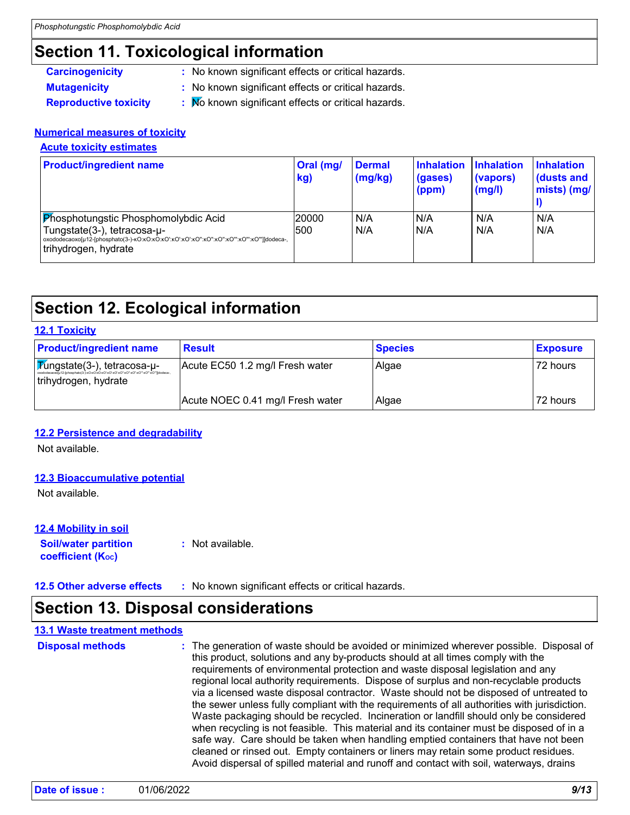## **Section 11. Toxicological information**

- **Carcinogenicity :** No known significant effects or critical hazards.
- **Mutagenicity :** No known significant effects or critical hazards.
- 
- 
- **Reproductive toxicity : No known significant effects or critical hazards.**

### **Numerical measures of toxicity**

### **Acute toxicity estimates**

| <b>Product/ingredient name</b>                                                                     | Oral (mg/<br>kg) | <b>Dermal</b><br>$\frac{mg}{kg}$ | <b>Inhalation</b><br>(gases)<br>(ppm) | <b>Inhalation</b><br>(vapors)<br>(mg/l) | <b>Inhalation</b><br>dusts and<br>mists) (mg/ |
|----------------------------------------------------------------------------------------------------|------------------|----------------------------------|---------------------------------------|-----------------------------------------|-----------------------------------------------|
| <b>Phosphotungstic Phosphomolybdic Acid</b><br>Tungstate(3-), tetracosa-µ-<br>trihydrogen, hydrate | 20000<br>500     | N/A<br>N/A                       | N/A<br>N/A                            | N/A<br>N/A                              | N/A<br>N/A                                    |

### **Section 12. Ecological information**

#### **12.1 Toxicity**

| <b>Product/ingredient name</b>                                      | <b>Result</b>                    | <b>Species</b> | <b>Exposure</b> |
|---------------------------------------------------------------------|----------------------------------|----------------|-----------------|
| $\sqrt{\text{M}}$ ngstate(3-), tetracosa-µ-<br>trihydrogen, hydrate | Acute EC50 1.2 mg/l Fresh water  | Algae          | 72 hours        |
|                                                                     | Acute NOEC 0.41 mg/l Fresh water | Algae          | 72 hours        |

#### **12.2 Persistence and degradability**

Not available.

#### **12.3 Bioaccumulative potential**

Not available.

#### **12.4 Mobility in soil**

**Soil/water partition coefficient (K**<sub>oc</sub>) **:** Not available.

**12.5 Other adverse effects :** No known significant effects or critical hazards.

### **Section 13. Disposal considerations**

#### **13.1 Waste treatment methods**

The generation of waste should be avoided or minimized wherever possible. Disposal of this product, solutions and any by-products should at all times comply with the requirements of environmental protection and waste disposal legislation and any regional local authority requirements. Dispose of surplus and non-recyclable products via a licensed waste disposal contractor. Waste should not be disposed of untreated to the sewer unless fully compliant with the requirements of all authorities with jurisdiction. Waste packaging should be recycled. Incineration or landfill should only be considered when recycling is not feasible. This material and its container must be disposed of in a safe way. Care should be taken when handling emptied containers that have not been cleaned or rinsed out. Empty containers or liners may retain some product residues. Avoid dispersal of spilled material and runoff and contact with soil, waterways, drains **Disposal methods :**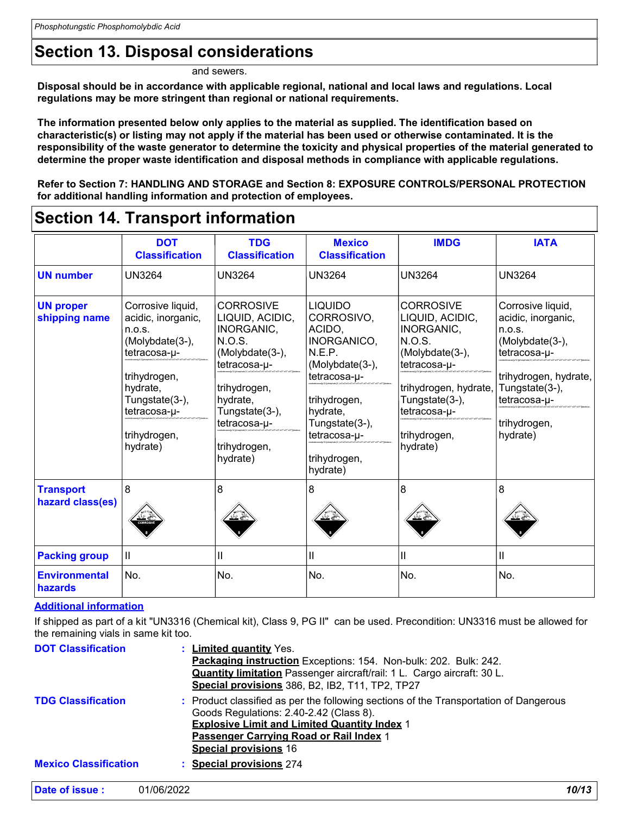### **Section 13. Disposal considerations**

and sewers.

**Disposal should be in accordance with applicable regional, national and local laws and regulations. Local regulations may be more stringent than regional or national requirements.**

**The information presented below only applies to the material as supplied. The identification based on characteristic(s) or listing may not apply if the material has been used or otherwise contaminated. It is the responsibility of the waste generator to determine the toxicity and physical properties of the material generated to determine the proper waste identification and disposal methods in compliance with applicable regulations.**

**Refer to Section 7: HANDLING AND STORAGE and Section 8: EXPOSURE CONTROLS/PERSONAL PROTECTION for additional handling information and protection of employees.**

### **Section 14. Transport information**

|                                      | <b>DOT</b><br><b>Classification</b>                                                                                                                                            | <b>TDG</b><br><b>Classification</b>                                                                                                                                                      | <b>Mexico</b><br><b>Classification</b>                                                                                                                                                       | <b>IMDG</b>                                                                                                                                                                                  | <b>IATA</b>                                                                                                                                                                 |
|--------------------------------------|--------------------------------------------------------------------------------------------------------------------------------------------------------------------------------|------------------------------------------------------------------------------------------------------------------------------------------------------------------------------------------|----------------------------------------------------------------------------------------------------------------------------------------------------------------------------------------------|----------------------------------------------------------------------------------------------------------------------------------------------------------------------------------------------|-----------------------------------------------------------------------------------------------------------------------------------------------------------------------------|
| <b>UN number</b>                     | <b>UN3264</b>                                                                                                                                                                  | UN3264                                                                                                                                                                                   | UN3264                                                                                                                                                                                       | <b>UN3264</b>                                                                                                                                                                                | <b>UN3264</b>                                                                                                                                                               |
| <b>UN proper</b><br>shipping name    | Corrosive liquid,<br>acidic, inorganic,<br>n.o.s.<br>(Molybdate(3-),<br>tetracosa-u-<br>trihydrogen,<br>hydrate,<br>Tungstate(3-),<br>tetracosa-u-<br>trihydrogen,<br>hydrate) | <b>CORROSIVE</b><br>LIQUID, ACIDIC,<br>INORGANIC,<br>N.O.S.<br>(Molybdate(3-),<br>tetracosa-µ-<br>trihydrogen,<br>hydrate,<br>Tungstate(3-),<br>tetracosa-µ-<br>trihydrogen,<br>hydrate) | <b>LIQUIDO</b><br>CORROSIVO,<br>ACIDO.<br>INORGANICO,<br>N.E.P.<br>(Molybdate(3-),<br>tetracosa-u-<br>trihydrogen,<br>hydrate,<br>Tungstate(3-),<br>tetracosa-u-<br>trihydrogen,<br>hydrate) | <b>CORROSIVE</b><br>LIQUID, ACIDIC,<br>INORGANIC,<br><b>N.O.S.</b><br>(Molybdate(3-),<br>tetracosa-µ-<br>trihydrogen, hydrate,<br>Tungstate(3-),<br>tetracosa-u-<br>trihydrogen,<br>hydrate) | Corrosive liquid,<br>acidic, inorganic,<br>n.o.s.<br>(Molybdate(3-),<br>tetracosa-u-<br>trihydrogen, hydrate,<br>Tungstate(3-),<br>tetracosa-u-<br>trihydrogen,<br>hydrate) |
| <b>Transport</b><br>hazard class(es) | 8                                                                                                                                                                              | 8                                                                                                                                                                                        | 8                                                                                                                                                                                            | 8                                                                                                                                                                                            | 8                                                                                                                                                                           |
| <b>Packing group</b>                 | Ш                                                                                                                                                                              | Ш                                                                                                                                                                                        | Ш                                                                                                                                                                                            | П                                                                                                                                                                                            | Ш                                                                                                                                                                           |
| <b>Environmental</b><br>hazards      | No.                                                                                                                                                                            | No.                                                                                                                                                                                      | No.                                                                                                                                                                                          | No.                                                                                                                                                                                          | No.                                                                                                                                                                         |

#### **Additional information**

If shipped as part of a kit "UN3316 (Chemical kit), Class 9, PG II" can be used. Precondition: UN3316 must be allowed for the remaining vials in same kit too.

| <b>DOT Classification</b>    | : Limited quantity Yes.<br>Packaging instruction Exceptions: 154. Non-bulk: 202. Bulk: 242.<br><b>Quantity limitation</b> Passenger aircraft/rail: 1 L. Cargo aircraft: 30 L.<br>Special provisions 386, B2, IB2, T11, TP2, TP27                                   |
|------------------------------|--------------------------------------------------------------------------------------------------------------------------------------------------------------------------------------------------------------------------------------------------------------------|
| <b>TDG Classification</b>    | : Product classified as per the following sections of the Transportation of Dangerous<br>Goods Regulations: 2.40-2.42 (Class 8).<br><b>Explosive Limit and Limited Quantity Index 1</b><br>Passenger Carrying Road or Rail Index 1<br><b>Special provisions 16</b> |
| <b>Mexico Classification</b> | : Special provisions 274                                                                                                                                                                                                                                           |

| 10/13 |
|-------|
|       |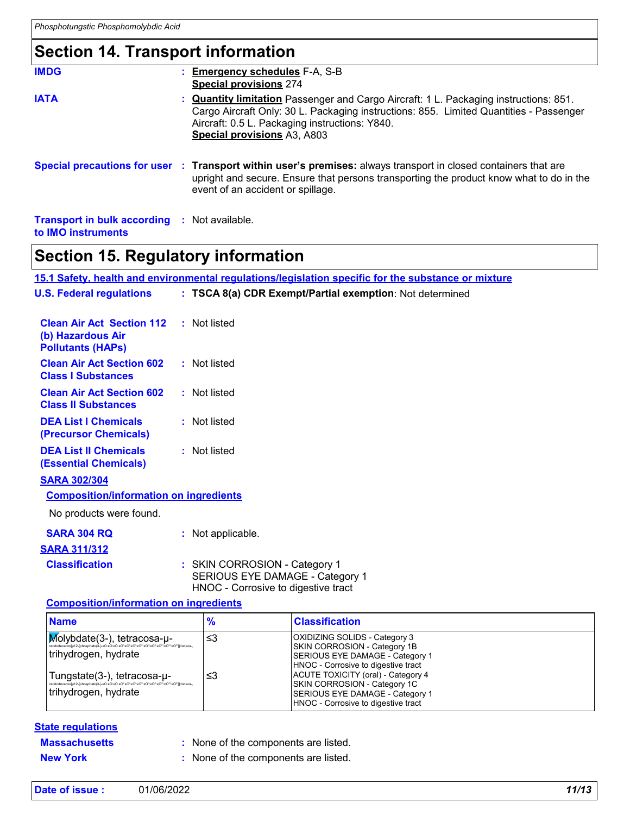### **Section 14. Transport information**

| <b>IMDG</b>                                         | <b>Emergency schedules F-A, S-B</b><br><b>Special provisions 274</b>                                                                                                                                                                                                  |
|-----------------------------------------------------|-----------------------------------------------------------------------------------------------------------------------------------------------------------------------------------------------------------------------------------------------------------------------|
| <b>IATA</b>                                         | <b>Quantity limitation</b> Passenger and Cargo Aircraft: 1 L. Packaging instructions: 851.<br>Cargo Aircraft Only: 30 L. Packaging instructions: 855. Limited Quantities - Passenger<br>Aircraft: 0.5 L. Packaging instructions: Y840.<br>Special provisions A3, A803 |
|                                                     | Special precautions for user : Transport within user's premises: always transport in closed containers that are<br>upright and secure. Ensure that persons transporting the product know what to do in the<br>event of an accident or spillage.                       |
| <b>Transport in bulk according : Not available.</b> |                                                                                                                                                                                                                                                                       |

**to IMO instruments**

### **Section 15. Regulatory information**

**15.1 Safety, health and environmental regulations/legislation specific for the substance or mixture**

| <b>U.S. Federal regulations</b>                                                   | : TSCA 8(a) CDR Exempt/Partial exemption: Not determined                                                                                                                                                                            |
|-----------------------------------------------------------------------------------|-------------------------------------------------------------------------------------------------------------------------------------------------------------------------------------------------------------------------------------|
| <b>Clean Air Act Section 112</b><br>(b) Hazardous Air<br><b>Pollutants (HAPS)</b> | : Not listed                                                                                                                                                                                                                        |
| <b>Clean Air Act Section 602</b><br><b>Class I Substances</b>                     | : Not listed                                                                                                                                                                                                                        |
| <b>Clean Air Act Section 602</b><br><b>Class II Substances</b>                    | : Not listed                                                                                                                                                                                                                        |
| <b>DEA List I Chemicals</b><br>(Precursor Chemicals)                              | : Not listed                                                                                                                                                                                                                        |
| <b>DEA List II Chemicals</b><br><b>(Essential Chemicals)</b>                      | : Not listed                                                                                                                                                                                                                        |
| <b>SARA 302/304</b><br><b>Composition/information on ingredients</b>              |                                                                                                                                                                                                                                     |
| No products were found.                                                           |                                                                                                                                                                                                                                     |
| <b>SARA 304 RQ</b><br><u>SARA 311/312</u>                                         | : Not applicable.                                                                                                                                                                                                                   |
| <b>Classification</b>                                                             | : SKIN CORROSION - Category 1<br>$\overline{O}$ $\overline{O}$ $\overline{O}$ $\overline{O}$ $\overline{O}$ $\overline{O}$ $\overline{O}$ $\overline{O}$ $\overline{O}$ $\overline{O}$ $\overline{O}$ $\overline{O}$ $\overline{O}$ |

SERIOUS EYE DAMAGE - Category 1 HNOC - Corrosive to digestive tract

#### **Composition/information on ingredients**

| <b>Name</b>                                                                                                                         | $\frac{9}{6}$ | <b>Classification</b>                                                                                                                                                                                                                                                                          |
|-------------------------------------------------------------------------------------------------------------------------------------|---------------|------------------------------------------------------------------------------------------------------------------------------------------------------------------------------------------------------------------------------------------------------------------------------------------------|
| $\sqrt{\mathsf{M}}$ olybdate(3-), tetracosa- $\mu$ -<br>trihydrogen, hydrate<br>Tungstate(3-), tetracosa-u-<br>trihydrogen, hydrate | ≤3<br>≤3      | <b>OXIDIZING SOLIDS - Category 3</b><br>SKIN CORROSION - Category 1B<br>SERIOUS EYE DAMAGE - Category 1<br>HNOC - Corrosive to digestive tract<br>ACUTE TOXICITY (oral) - Category 4<br>SKIN CORROSION - Category 1C<br>SERIOUS EYE DAMAGE - Category 1<br>HNOC - Corrosive to digestive tract |

### **State regulations**

| <b>Massachusetts</b> | : None of the components are listed. |
|----------------------|--------------------------------------|
| <b>New York</b>      | : None of the components are listed. |

| Date of issue: | 01/06/2022 | 11/13 |
|----------------|------------|-------|
|----------------|------------|-------|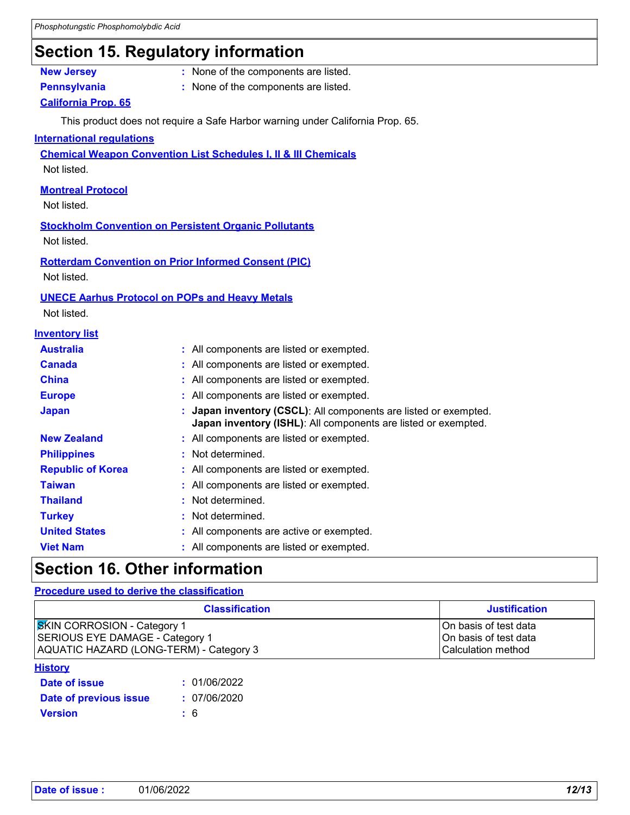### **Section 15. Regulatory information**

- **New Jersey :** None of the components are listed.
- 
- **Pennsylvania :** None of the components are listed.

### **California Prop. 65**

This product does not require a Safe Harbor warning under California Prop. 65.

#### **International regulations**

**Chemical Weapon Convention List Schedules I, II & III Chemicals**

Not listed.

### **Montreal Protocol**

Not listed.

**Stockholm Convention on Persistent Organic Pollutants** Not listed.

**Rotterdam Convention on Prior Informed Consent (PIC)** Not listed.

#### **UNECE Aarhus Protocol on POPs and Heavy Metals**

Not listed.

|  | <b>Inventory list</b> |  |  |  |
|--|-----------------------|--|--|--|
|--|-----------------------|--|--|--|

| <b>Australia</b>         | : All components are listed or exempted.                                                                                           |
|--------------------------|------------------------------------------------------------------------------------------------------------------------------------|
| <b>Canada</b>            | : All components are listed or exempted.                                                                                           |
| <b>China</b>             | : All components are listed or exempted.                                                                                           |
| <b>Europe</b>            | : All components are listed or exempted.                                                                                           |
| <b>Japan</b>             | : Japan inventory (CSCL): All components are listed or exempted.<br>Japan inventory (ISHL): All components are listed or exempted. |
| <b>New Zealand</b>       | : All components are listed or exempted.                                                                                           |
| <b>Philippines</b>       | : Not determined.                                                                                                                  |
| <b>Republic of Korea</b> | : All components are listed or exempted.                                                                                           |
| <b>Taiwan</b>            | : All components are listed or exempted.                                                                                           |
| <b>Thailand</b>          | : Not determined.                                                                                                                  |
| <b>Turkey</b>            | : Not determined.                                                                                                                  |
| <b>United States</b>     | : All components are active or exempted.                                                                                           |
| <b>Viet Nam</b>          | : All components are listed or exempted.                                                                                           |

### **Section 16. Other information**

#### **Procedure used to derive the classification**

| <b>Classification</b>                   | <b>Justification</b>      |
|-----------------------------------------|---------------------------|
| <b>SKIN CORROSION - Category 1</b>      | On basis of test data     |
| SERIOUS EYE DAMAGE - Category 1         | IOn basis of test data    |
| AQUATIC HAZARD (LONG-TERM) - Category 3 | <b>Calculation method</b> |

#### **History**

| Date of issue          | : 01/06/2022 |
|------------------------|--------------|
| Date of previous issue | : 07/06/2020 |
| <b>Version</b>         | : 6          |